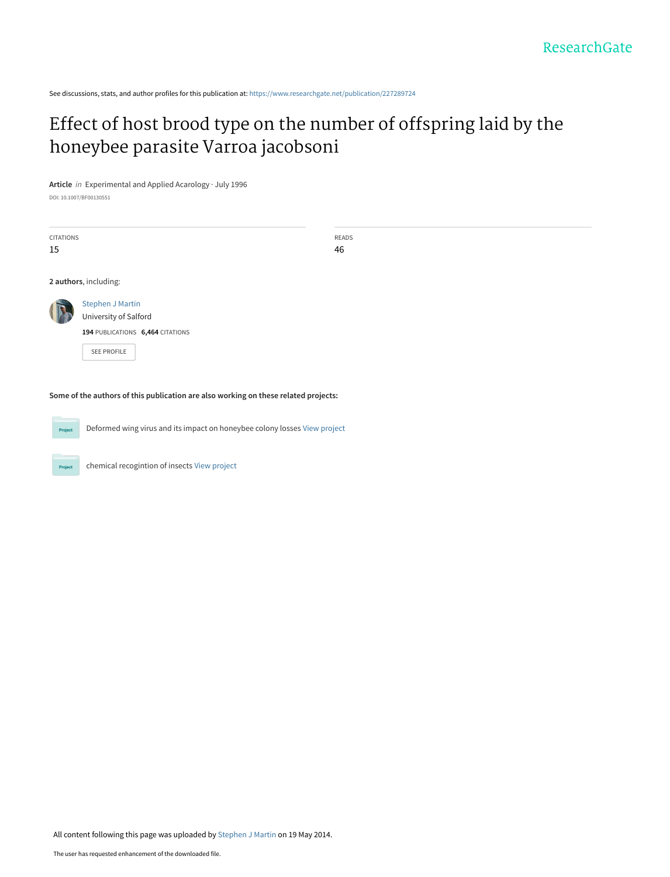See discussions, stats, and author profiles for this publication at: [https://www.researchgate.net/publication/227289724](https://www.researchgate.net/publication/227289724_Effect_of_host_brood_type_on_the_number_of_offspring_laid_by_the_honeybee_parasite_Varroa_jacobsoni?enrichId=rgreq-d15497831f991a7907ea53a4ed8c5763-XXX&enrichSource=Y292ZXJQYWdlOzIyNzI4OTcyNDtBUzo5ODU5NTIxODkxOTQyNkAxNDAwNTE4MzQwMTY1&el=1_x_2&_esc=publicationCoverPdf)

## [Effect of host brood type on the number of offspring laid by the](https://www.researchgate.net/publication/227289724_Effect_of_host_brood_type_on_the_number_of_offspring_laid_by_the_honeybee_parasite_Varroa_jacobsoni?enrichId=rgreq-d15497831f991a7907ea53a4ed8c5763-XXX&enrichSource=Y292ZXJQYWdlOzIyNzI4OTcyNDtBUzo5ODU5NTIxODkxOTQyNkAxNDAwNTE4MzQwMTY1&el=1_x_3&_esc=publicationCoverPdf) honeybee parasite Varroa jacobsoni

**Article** in Experimental and Applied Acarology · July 1996

DOI: 10.1007/BF00130551

| <b>CITATIONS</b><br>15                                                              |                                                                                                     | READS<br>46 |  |  |  |
|-------------------------------------------------------------------------------------|-----------------------------------------------------------------------------------------------------|-------------|--|--|--|
|                                                                                     | 2 authors, including:                                                                               |             |  |  |  |
|                                                                                     | <b>Stephen J Martin</b><br>University of Salford<br>194 PUBLICATIONS 6,464 CITATIONS<br>SEE PROFILE |             |  |  |  |
| Some of the authors of this publication are also working on these related projects: |                                                                                                     |             |  |  |  |

Deformed wing virus and its impact on honeybee colony losses [View project](https://www.researchgate.net/project/Deformed-wing-virus-and-its-impact-on-honeybee-colony-losses?enrichId=rgreq-d15497831f991a7907ea53a4ed8c5763-XXX&enrichSource=Y292ZXJQYWdlOzIyNzI4OTcyNDtBUzo5ODU5NTIxODkxOTQyNkAxNDAwNTE4MzQwMTY1&el=1_x_9&_esc=publicationCoverPdf)

chemical recogintion of insects [View project](https://www.researchgate.net/project/chemical-recogintion-of-insects?enrichId=rgreq-d15497831f991a7907ea53a4ed8c5763-XXX&enrichSource=Y292ZXJQYWdlOzIyNzI4OTcyNDtBUzo5ODU5NTIxODkxOTQyNkAxNDAwNTE4MzQwMTY1&el=1_x_9&_esc=publicationCoverPdf)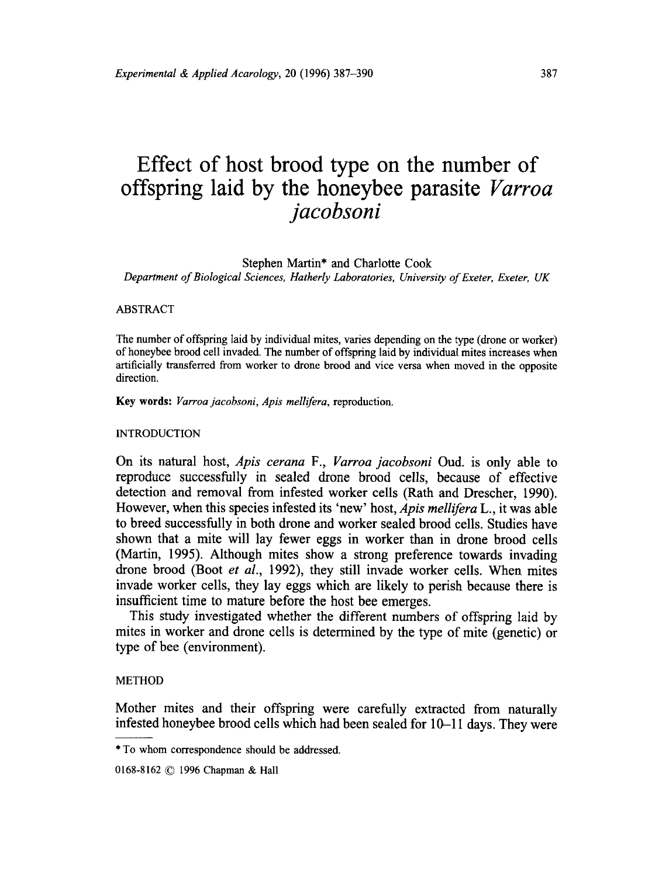# **Effect of host brood type on the number of offspring laid by the honeybee parasite** *Varroa jacobsoni*

Stephen Martin\* and Charlotte Cook

*Department of Biological Sciences, Hatherly Laboratories, University of Exeter, Exeter, UK* 

## ABSTRACT

The number of offspring laid by individual mites, varies depending on the type (drone or worker) of honeybee brood cell invaded. The number of offspring laid by individual mites increases when artificially transferred from worker to drone brood and vice versa when moved in the opposite direction.

Key words: *Varroa jacobsoni, Apis mellifera,* reproduction.

INTRODUCTION

On its natural host, *Apis cerana* F., *Varroa jacobsoni* Oud. is only able to reproduce successfully in sealed drone brood cells, because of effective detection and removal from infested worker cells (Rath and Drescher, 1990). However, when this species infested its 'new' host, *Apis mellifera* L., it was able to breed successfully in both drone and worker sealed brood cells. Studies have shown that a mite will lay fewer eggs in worker than in drone brood cells (Martin, 1995). Although mites show a strong preference towards invading drone brood (Boot *et al.,* 1992), they still invade worker cells. When mites invade worker cells, they lay eggs which are likely to perish because there is insufficient time to mature before the host bee emerges.

This study investigated whether the different numbers of offspring laid by mites in worker and drone cells is determined by the type of mite (genetic) or type of bee (environment).

## METHOD

Mother mites and their offspring were carefully extracted from naturally infested honeybee brood cells which had been sealed for 10-11 days. They were

0168-8162 © 1996 Chapman & Hall

<sup>\*</sup> To whom correspondence should be addressed.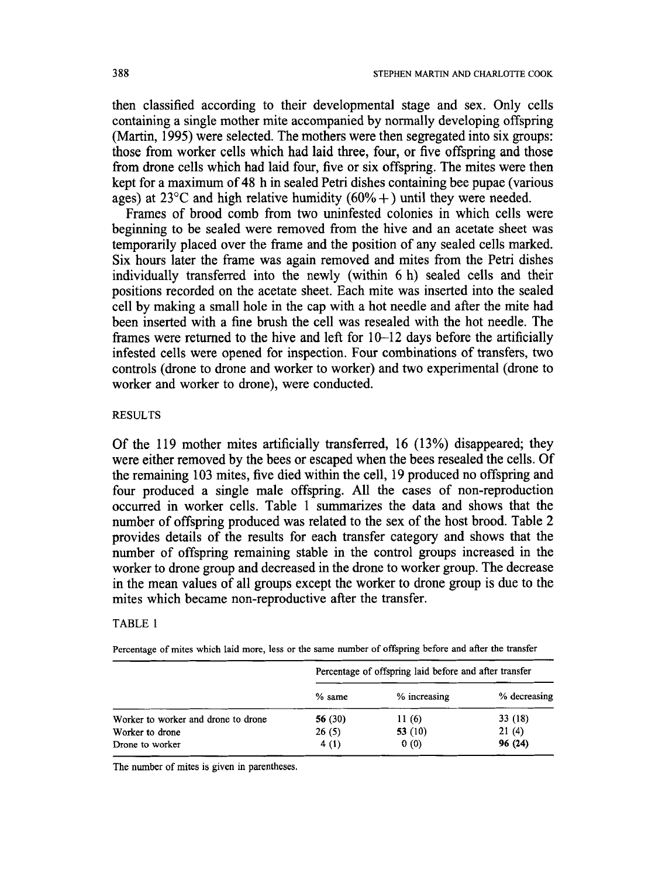then classified according to their developmental stage and sex. Only cells containing a single mother mite accompanied by normally developing offspring (Martin, 1995) were selected. The mothers were then segregated into six groups: those from worker cells which had laid three, four, or five offspring and those from drone cells which had laid four, five or six offspring. The mites were then kept for a maximum of 48 h in sealed Petri dishes containing bee pupae (various ages) at 23<sup>°</sup>C and high relative humidity  $(60\% + )$  until they were needed.

Frames of brood comb from two uninfested colonies in which cells were beginning to be sealed were removed from the hive and an acetate sheet was temporarily placed over the frame and the position of any sealed cells marked. Six hours later the frame was again removed and mites from the Petri dishes individually transferred into the newly (within 6 h) sealed cells and their positions recorded on the acetate sheet. Each mite was inserted into the sealed cell by making a small hole in the cap with a hot needle and after the mite had been inserted with a fine brush the cell was resealed with the hot needle. The frames were returned to the hive and left for 10–12 days before the artificially infested cells were opened for inspection. Four combinations of transfers, two controls (drone to drone and worker to worker) and two experimental (drone to worker and worker to drone), were conducted.

## RESULTS

Of the 119 mother mites artificially transferred, 16 (13%) disappeared; they were either removed by the bees or escaped when the bees resealed the cells. Of the remaining 103 mites, five died within the cell, 19 produced no offspring and four produced a single male offspring. All the cases of non-reproduction occurred in worker cells. Table 1 summarizes the data and shows that the number of offspring produced was related to the sex of the host brood. Table 2 provides details of the results for each transfer category and shows that the number of offspring remaining stable in the control groups increased in the worker to drone group and decreased in the drone to worker group. The decrease in the mean values of all groups except the worker to drone group is due to the mites which became non-reproductive after the transfer.

## TABLE 1

Percentage of mites which laid more, less or the same number of offspring before and after the transfer

|                                     | Percentage of offspring laid before and after transfer |              |              |
|-------------------------------------|--------------------------------------------------------|--------------|--------------|
|                                     | $%$ same                                               | % increasing | % decreasing |
| Worker to worker and drone to drone | 56 (30)                                                | 11(6)        | 33 (18)      |
| Worker to drone                     | 26(5)                                                  | 53 $(10)$    | 21(4)        |
| Drone to worker                     | 4(1)                                                   | 0(0)         | 96 (24)      |

The number of mites is given in parentheses.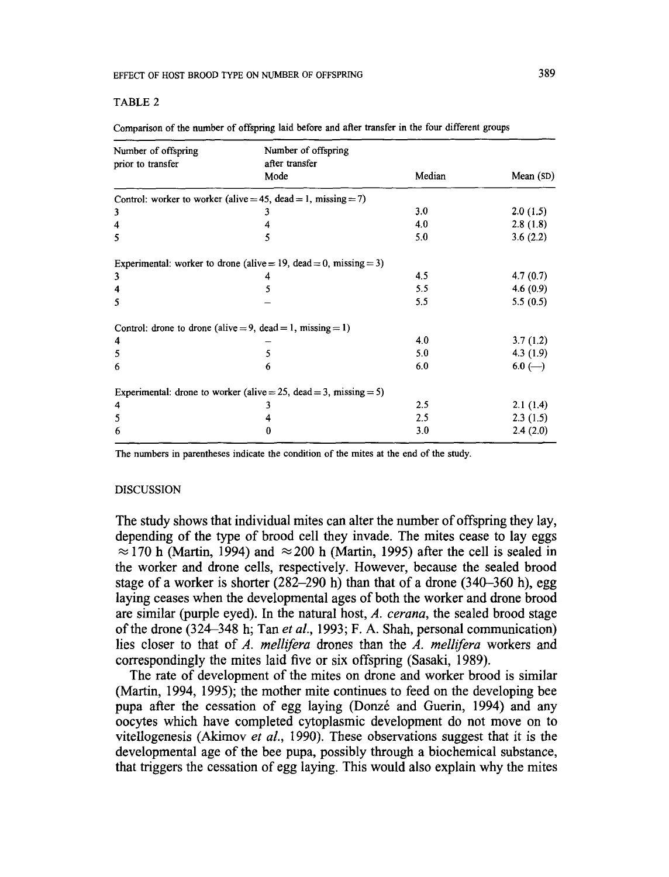#### EFFECT OF HOST BROOD TYPE ON NUMBER OF OFFSPRING

#### TABLE 2

| Number of offspring | Number of offspring                                               |        |           |
|---------------------|-------------------------------------------------------------------|--------|-----------|
| prior to transfer   | after transfer<br>Mode                                            | Median | Mean (SD) |
|                     | Control: worker to worker (alive = 45, dead = 1, missing = 7)     |        |           |
| 3                   | 3                                                                 | 3.0    | 2.0(1.5)  |
| 4                   |                                                                   | 4.0    | 2.8(1.8)  |
| 5                   | 5                                                                 | 5.0    | 3.6(2.2)  |
|                     | Experimental: worker to drone (alive = 19, dead = 0, missing = 3) |        |           |
| 3                   |                                                                   | 4.5    | 4.7(0.7)  |
| 4                   |                                                                   | 5.5    | 4.6(0.9)  |
| 5                   |                                                                   | 5.5    | 5.5(0.5)  |
|                     | Control: drone to drone (alive = 9, dead = 1, missing = 1)        |        |           |
| 4                   |                                                                   | 4.0    | 3.7(1.2)  |
| 5                   |                                                                   | 5.0    | 4.3(1.9)  |
| 6                   | 'n                                                                | 6.0    | $6.0$ (-) |
|                     | Experimental: drone to worker (alive = 25, dead = 3, missing = 5) |        |           |
| 4                   |                                                                   | 2.5    | 2.1(1.4)  |
| 5                   |                                                                   | 2.5    | 2.3(1.5)  |
| 6                   |                                                                   | 3.0    | 2.4(2.0)  |

**Comparison of the number of offspring laid before and after transfer in the four different groups** 

**The numbers in parentheses indicate the condition of the mites at the end of the study.** 

## DISCUSSION

**The study shows that individual mites can alter the number of offspring they lay, depending of the type of brood cell they invade. The mites cease to lay eggs**   $\approx$  170 h (Martin, 1994) and  $\approx$  200 h (Martin, 1995) after the cell is sealed in **the worker and drone cells, respectively. However, because the sealed brood stage of a worker is shorter (282-290 h) than that of a drone (340-360 h), egg laying ceases when the developmental ages of both the worker and drone brood are similar (purple eyed). In the natural host,** *A. cerana,* **the sealed brood stage of the drone (324-348 h; Tan** *et al.,* **1993; F. A. Shah, personal communication) lies closer to that of** *A. mellifera* **drones than the** *A. mellifera* **workers and correspondingly the mites laid five or six offspring (Sasaki, 1989).** 

**The rate of development of the mites on drone and worker brood is similar (Martin, 1994, 1995); the mother mite continues to feed on the developing bee pupa after the cessation of egg laying (Donz6 and Guerin, 1994) and any oocytes which have completed cytoplasmic development do not move on to vitellogenesis (Akimov** *et al.,* **1990). These observations suggest that it is the developmental age of the bee pupa, possibly through a biochemical substance, that triggers the cessation of egg laying. This would also explain why the mites**